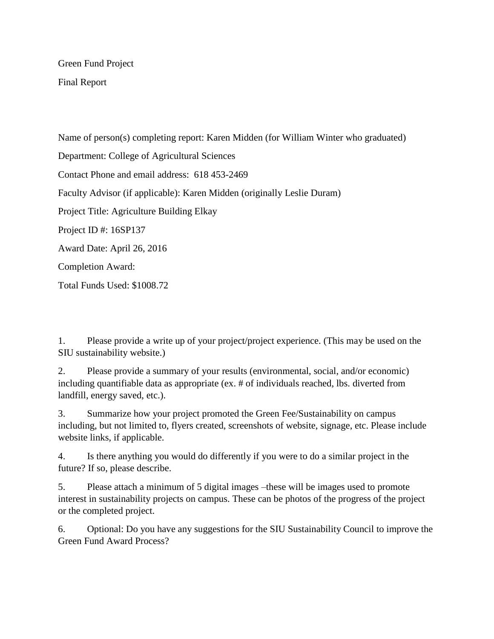Green Fund Project

Final Report

Name of person(s) completing report: Karen Midden (for William Winter who graduated) Department: College of Agricultural Sciences Contact Phone and email address: 618 453-2469 Faculty Advisor (if applicable): Karen Midden (originally Leslie Duram) Project Title: Agriculture Building Elkay Project ID #: 16SP137 Award Date: April 26, 2016 Completion Award: Total Funds Used: \$1008.72

1. Please provide a write up of your project/project experience. (This may be used on the SIU sustainability website.)

2. Please provide a summary of your results (environmental, social, and/or economic) including quantifiable data as appropriate (ex. # of individuals reached, lbs. diverted from landfill, energy saved, etc.).

3. Summarize how your project promoted the Green Fee/Sustainability on campus including, but not limited to, flyers created, screenshots of website, signage, etc. Please include website links, if applicable.

4. Is there anything you would do differently if you were to do a similar project in the future? If so, please describe.

5. Please attach a minimum of 5 digital images –these will be images used to promote interest in sustainability projects on campus. These can be photos of the progress of the project or the completed project.

6. Optional: Do you have any suggestions for the SIU Sustainability Council to improve the Green Fund Award Process?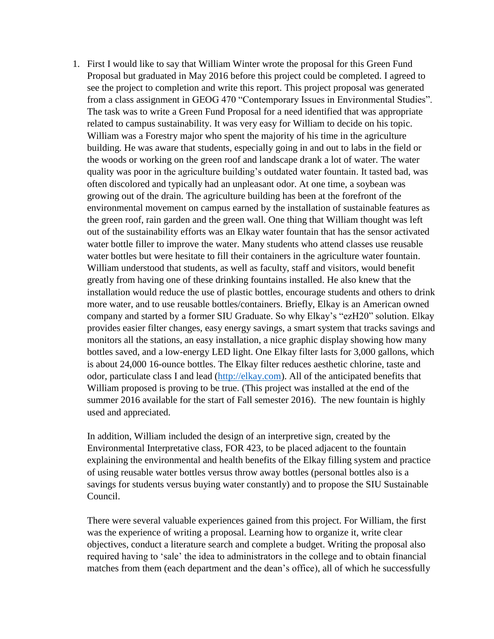1. First I would like to say that William Winter wrote the proposal for this Green Fund Proposal but graduated in May 2016 before this project could be completed. I agreed to see the project to completion and write this report. This project proposal was generated from a class assignment in GEOG 470 "Contemporary Issues in Environmental Studies". The task was to write a Green Fund Proposal for a need identified that was appropriate related to campus sustainability. It was very easy for William to decide on his topic. William was a Forestry major who spent the majority of his time in the agriculture building. He was aware that students, especially going in and out to labs in the field or the woods or working on the green roof and landscape drank a lot of water. The water quality was poor in the agriculture building's outdated water fountain. It tasted bad, was often discolored and typically had an unpleasant odor. At one time, a soybean was growing out of the drain. The agriculture building has been at the forefront of the environmental movement on campus earned by the installation of sustainable features as the green roof, rain garden and the green wall. One thing that William thought was left out of the sustainability efforts was an Elkay water fountain that has the sensor activated water bottle filler to improve the water. Many students who attend classes use reusable water bottles but were hesitate to fill their containers in the agriculture water fountain. William understood that students, as well as faculty, staff and visitors, would benefit greatly from having one of these drinking fountains installed. He also knew that the installation would reduce the use of plastic bottles, encourage students and others to drink more water, and to use reusable bottles/containers. Briefly, Elkay is an American owned company and started by a former SIU Graduate. So why Elkay's "ezH20" solution. Elkay provides easier filter changes, easy energy savings, a smart system that tracks savings and monitors all the stations, an easy installation, a nice graphic display showing how many bottles saved, and a low-energy LED light. One Elkay filter lasts for 3,000 gallons, which is about 24,000 16-ounce bottles. The Elkay filter reduces aesthetic chlorine, taste and odor, particulate class I and lead [\(http://elkay.com\)](http://elkay.com/). All of the anticipated benefits that William proposed is proving to be true. (This project was installed at the end of the summer 2016 available for the start of Fall semester 2016). The new fountain is highly used and appreciated.

In addition, William included the design of an interpretive sign, created by the Environmental Interpretative class, FOR 423, to be placed adjacent to the fountain explaining the environmental and health benefits of the Elkay filling system and practice of using reusable water bottles versus throw away bottles (personal bottles also is a savings for students versus buying water constantly) and to propose the SIU Sustainable Council.

There were several valuable experiences gained from this project. For William, the first was the experience of writing a proposal. Learning how to organize it, write clear objectives, conduct a literature search and complete a budget. Writing the proposal also required having to 'sale' the idea to administrators in the college and to obtain financial matches from them (each department and the dean's office), all of which he successfully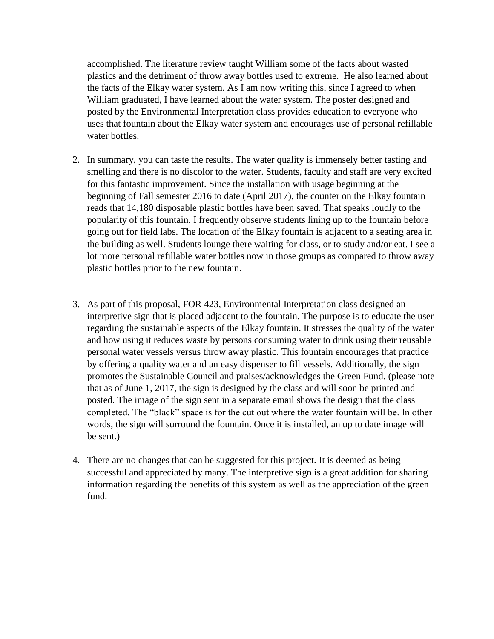accomplished. The literature review taught William some of the facts about wasted plastics and the detriment of throw away bottles used to extreme. He also learned about the facts of the Elkay water system. As I am now writing this, since I agreed to when William graduated, I have learned about the water system. The poster designed and posted by the Environmental Interpretation class provides education to everyone who uses that fountain about the Elkay water system and encourages use of personal refillable water bottles.

- 2. In summary, you can taste the results. The water quality is immensely better tasting and smelling and there is no discolor to the water. Students, faculty and staff are very excited for this fantastic improvement. Since the installation with usage beginning at the beginning of Fall semester 2016 to date (April 2017), the counter on the Elkay fountain reads that 14,180 disposable plastic bottles have been saved. That speaks loudly to the popularity of this fountain. I frequently observe students lining up to the fountain before going out for field labs. The location of the Elkay fountain is adjacent to a seating area in the building as well. Students lounge there waiting for class, or to study and/or eat. I see a lot more personal refillable water bottles now in those groups as compared to throw away plastic bottles prior to the new fountain.
- 3. As part of this proposal, FOR 423, Environmental Interpretation class designed an interpretive sign that is placed adjacent to the fountain. The purpose is to educate the user regarding the sustainable aspects of the Elkay fountain. It stresses the quality of the water and how using it reduces waste by persons consuming water to drink using their reusable personal water vessels versus throw away plastic. This fountain encourages that practice by offering a quality water and an easy dispenser to fill vessels. Additionally, the sign promotes the Sustainable Council and praises/acknowledges the Green Fund. (please note that as of June 1, 2017, the sign is designed by the class and will soon be printed and posted. The image of the sign sent in a separate email shows the design that the class completed. The "black" space is for the cut out where the water fountain will be. In other words, the sign will surround the fountain. Once it is installed, an up to date image will be sent.)
- 4. There are no changes that can be suggested for this project. It is deemed as being successful and appreciated by many. The interpretive sign is a great addition for sharing information regarding the benefits of this system as well as the appreciation of the green fund.